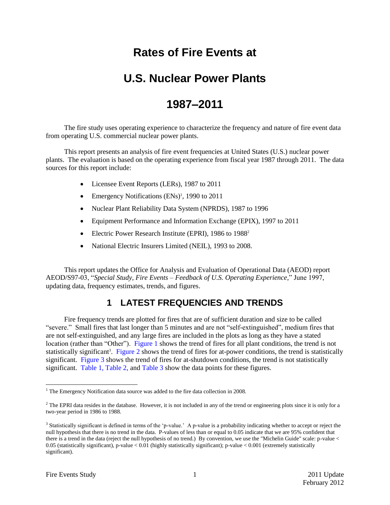# **Rates of Fire Events at**

## **U.S. Nuclear Power Plants**

## <span id="page-0-0"></span>**1987–2011**

The fire study uses operating experience to characterize the frequency and nature of fire event data from operating U.S. commercial nuclear power plants.

This report presents an analysis of fire event frequencies at United States (U.S.) nuclear power plants. The evaluation is based on the operating experience from fiscal year 1987 through [2011.](#page-0-0) The data sources for this report include:

- Licensee Event Reports (LERs), 1987 to [2011](#page-0-0)
- Emergency Notifications  $(ENs)^1$ , 1990 to [2011](#page-0-0)
- Nuclear Plant Reliability Data System (NPRDS), 1987 to 1996
- Equipment Performance and Information Exchange (EPIX), 1997 to [2011](#page-0-0)
- Electric Power Research Institute (EPRI), 1986 to 1988<sup>2</sup>
- National Electric Insurers Limited (NEIL), 1993 to 2008.

This report updates the Office for Analysis and Evaluation of Operational Data (AEOD) report AEOD/S97-03, "*Special Study, Fire Events – Feedback of U.S. Operating Experience,*" June 1997, updating data, frequency estimates, trends, and figures.

#### **1 LATEST FREQUENCIES AND TRENDS**

Fire frequency trends are plotted for fires that are of sufficient duration and size to be called "severe." Small fires that last longer than 5 minutes and are not "self-extinguished", medium fires that are not self-extinguished, and any large fires are included in the plots as long as they have a stated location (rather than "Other"). [Figure 1](#page-2-0) shows the trend of fires for all plant conditions, the trend is not statistically significant<sup>3</sup>. [Figure 2](#page-3-0) shows the trend of fires for at-power conditions, the trend is statistically significant. [Figure 3](#page-4-0) shows the trend of fires for at-shutdown conditions, the trend is not statistically significant. [Table 1,](#page-8-0) [Table 2,](#page-9-0) and [Table 3](#page-10-0) show the data points for these figures.

 $\overline{a}$ 

<sup>&</sup>lt;sup>1</sup> The Emergency Notification data source was added to the fire data collection in 2008.

 $2$  The EPRI data resides in the database. However, it is not included in any of the trend or engineering plots since it is only for a two-year period in 1986 to 1988.

<sup>&</sup>lt;sup>3</sup> Statistically significant is defined in terms of the 'p-value.' A p-value is a probability indicating whether to accept or reject the null hypothesis that there is no trend in the data. P-values of less than or equal to 0.05 indicate that we are 95% confident that there is a trend in the data (reject the null hypothesis of no trend.) By convention, we use the "Michelin Guide" scale: p-value < 0.05 (statistically significant), p-value < 0.01 (highly statistically significant); p-value < 0.001 (extremely statistically significant).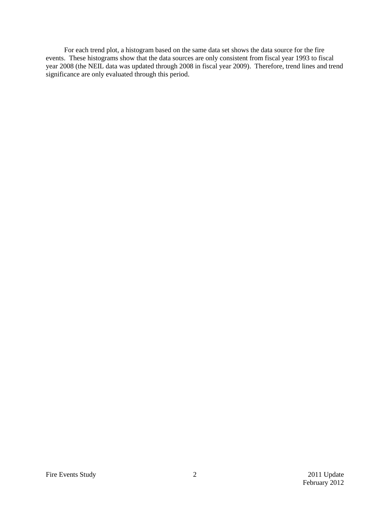For each trend plot, a histogram based on the same data set shows the data source for the fire events. These histograms show that the data sources are only consistent from fiscal year 1993 to fiscal year 2008 (the NEIL data was updated through 2008 in fiscal year 2009). Therefore, trend lines and trend significance are only evaluated through this period.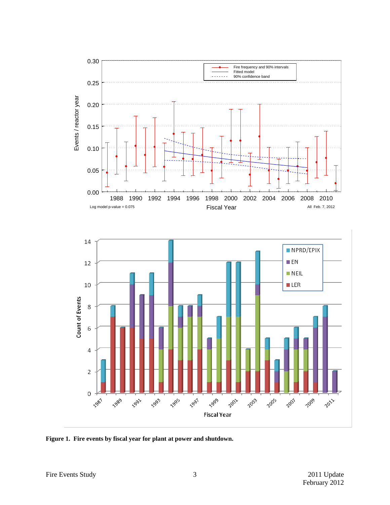

<span id="page-2-0"></span>**Figure 1. Fire events by fiscal year for plant at power and shutdown.**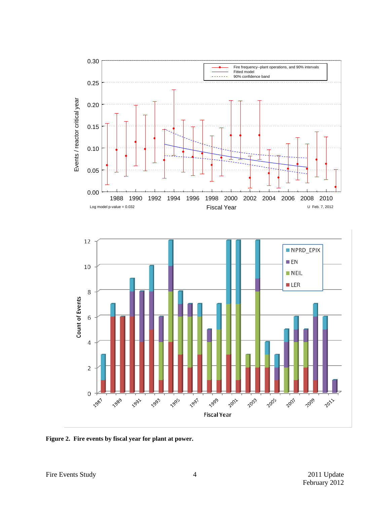

<span id="page-3-0"></span>**Figure 2. Fire events by fiscal year for plant at power.**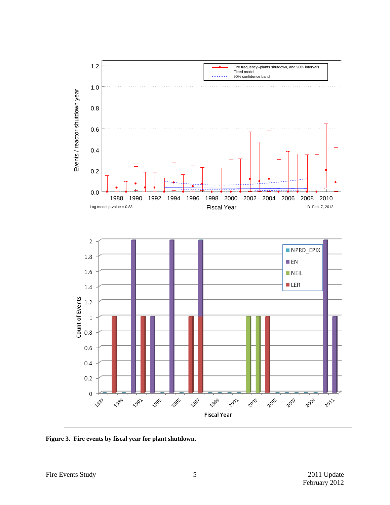

<span id="page-4-0"></span>**Figure 3. Fire events by fiscal year for plant shutdown.**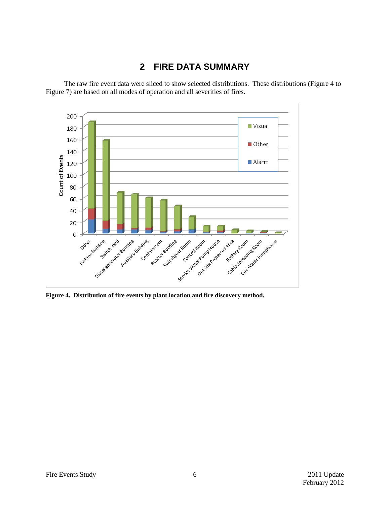### **2 FIRE DATA SUMMARY**

The raw fire event data were sliced to show selected distributions. These distributions [\(Figure 4](#page-5-0) to [Figure 7\)](#page-7-0) are based on all modes of operation and all severities of fires.



<span id="page-5-0"></span>**Figure 4. Distribution of fire events by plant location and fire discovery method.**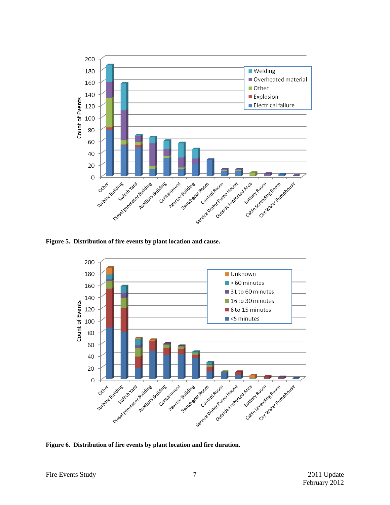

**Figure 5. Distribution of fire events by plant location and cause.**



**Figure 6. Distribution of fire events by plant location and fire duration.**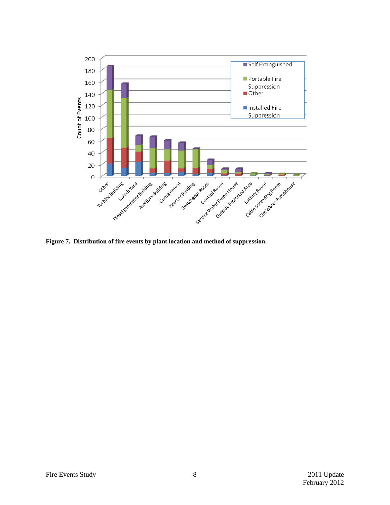

<span id="page-7-0"></span>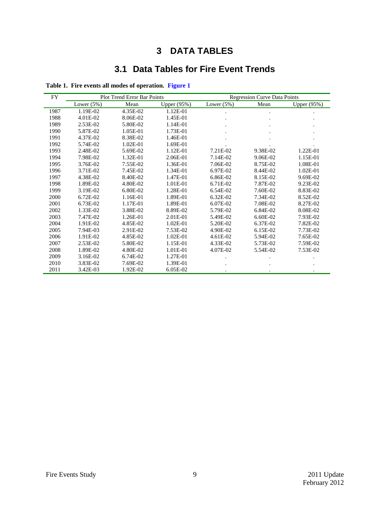## **DATA TABLES**

### **3.1 Data Tables for Fire Event Trends**

| FY   | <b>Plot Trend Error Bar Points</b> |              |             | <b>Regression Curve Data Points</b> |          |                    |
|------|------------------------------------|--------------|-------------|-------------------------------------|----------|--------------------|
|      | Lower $(5%)$                       | Mean         | Upper (95%) | Lower $(5%)$                        | Mean     | <b>Upper</b> (95%) |
| 1987 | 1.19E-02                           | 4.35E-02     | 1.12E-01    |                                     |          |                    |
| 1988 | 4.01E-02                           | 8.06E-02     | 1.45E-01    |                                     |          |                    |
| 1989 | 2.53E-02                           | 5.80E-02     | 1.14E-01    |                                     |          |                    |
| 1990 | 5.87E-02                           | 1.05E-01     | 1.73E-01    |                                     |          |                    |
| 1991 | 4.37E-02                           | 8.38E-02     | 1.46E-01    |                                     |          |                    |
| 1992 | 5.74E-02                           | $1.02E - 01$ | 1.69E-01    |                                     |          |                    |
| 1993 | 2.48E-02                           | 5.69E-02     | 1.12E-01    | 7.21E-02                            | 9.38E-02 | 1.22E-01           |
| 1994 | 7.98E-02                           | 1.32E-01     | 2.06E-01    | 7.14E-02                            | 9.06E-02 | 1.15E-01           |
| 1995 | 3.76E-02                           | 7.55E-02     | 1.36E-01    | 7.06E-02                            | 8.75E-02 | 1.08E-01           |
| 1996 | 3.71E-02                           | 7.45E-02     | 1.34E-01    | 6.97E-02                            | 8.44E-02 | 1.02E-01           |
| 1997 | 4.38E-02                           | 8.40E-02     | 1.47E-01    | 6.86E-02                            | 8.15E-02 | 9.69E-02           |
| 1998 | 1.89E-02                           | 4.80E-02     | 1.01E-01    | 6.71E-02                            | 7.87E-02 | 9.23E-02           |
| 1999 | 3.19E-02                           | 6.80E-02     | 1.28E-01    | 6.54E-02                            | 7.60E-02 | 8.83E-02           |
| 2000 | 6.72E-02                           | 1.16E-01     | 1.89E-01    | 6.32E-02                            | 7.34E-02 | 8.52E-02           |
| 2001 | 6.73E-02                           | 1.17E-01     | 1.89E-01    | 6.07E-02                            | 7.08E-02 | 8.27E-02           |
| 2002 | 1.33E-02                           | 3.88E-02     | 8.89E-02    | 5.79E-02                            | 6.84E-02 | 8.08E-02           |
| 2003 | 7.47E-02                           | 1.26E-01     | 2.01E-01    | 5.49E-02                            | 6.60E-02 | 7.93E-02           |
| 2004 | 1.91E-02                           | 4.85E-02     | 1.02E-01    | 5.20E-02                            | 6.37E-02 | 7.82E-02           |
| 2005 | 7.94E-03                           | 2.91E-02     | 7.53E-02    | 4.90E-02                            | 6.15E-02 | 7.73E-02           |
| 2006 | 1.91E-02                           | 4.85E-02     | 1.02E-01    | 4.61E-02                            | 5.94E-02 | 7.65E-02           |
| 2007 | 2.53E-02                           | 5.80E-02     | 1.15E-01    | 4.33E-02                            | 5.73E-02 | 7.59E-02           |
| 2008 | 1.89E-02                           | 4.80E-02     | 1.01E-01    | 4.07E-02                            | 5.54E-02 | 7.53E-02           |
| 2009 | 3.16E-02                           | 6.74E-02     | 1.27E-01    |                                     |          |                    |
| 2010 | 3.83E-02                           | 7.69E-02     | 1.39E-01    |                                     |          |                    |
| 2011 | 3.42E-03                           | 1.92E-02     | 6.05E-02    |                                     |          |                    |

<span id="page-8-0"></span>**Table 1. Fire events all modes of operation. [Figure 1](#page-2-0)**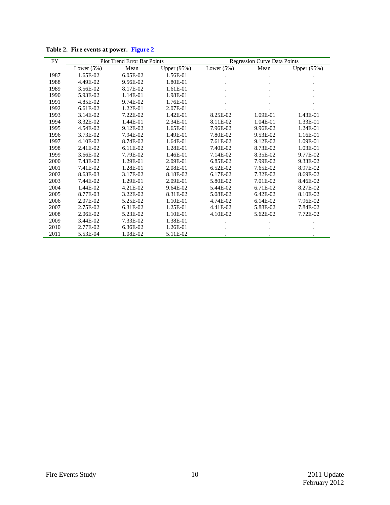| FY   | <b>Plot Trend Error Bar Points</b> |            |                    | <b>Regression Curve Data Points</b> |              |             |
|------|------------------------------------|------------|--------------------|-------------------------------------|--------------|-------------|
|      | Lower $(5%)$                       | Mean       | <b>Upper</b> (95%) | Lower $(5%)$                        | Mean         | Upper (95%) |
| 1987 | 1.65E-02                           | $6.05E-02$ | 1.56E-01           |                                     |              |             |
| 1988 | 4.49E-02                           | 9.56E-02   | 1.80E-01           |                                     |              |             |
| 1989 | 3.56E-02                           | 8.17E-02   | 1.61E-01           |                                     |              |             |
| 1990 | 5.93E-02                           | 1.14E-01   | 1.98E-01           |                                     |              |             |
| 1991 | 4.85E-02                           | 9.74E-02   | 1.76E-01           |                                     |              |             |
| 1992 | 6.61E-02                           | 1.22E-01   | 2.07E-01           |                                     |              |             |
| 1993 | 3.14E-02                           | 7.22E-02   | 1.42E-01           | 8.25E-02                            | 1.09E-01     | 1.43E-01    |
| 1994 | 8.32E-02                           | 1.44E-01   | 2.34E-01           | 8.11E-02                            | 1.04E-01     | 1.33E-01    |
| 1995 | 4.54E-02                           | 9.12E-02   | 1.65E-01           | 7.96E-02                            | 9.96E-02     | 1.24E-01    |
| 1996 | 3.73E-02                           | 7.94E-02   | 1.49E-01           | 7.80E-02                            | 9.53E-02     | 1.16E-01    |
| 1997 | 4.10E-02                           | 8.74E-02   | 1.64E-01           | 7.61E-02                            | 9.12E-02     | 1.09E-01    |
| 1998 | 2.41E-02                           | 6.11E-02   | 1.28E-01           | 7.40E-02                            | 8.73E-02     | 1.03E-01    |
| 1999 | 3.66E-02                           | 7.79E-02   | 1.46E-01           | 7.14E-02                            | 8.35E-02     | 9.77E-02    |
| 2000 | 7.43E-02                           | 1.29E-01   | 2.09E-01           | 6.85E-02                            | 7.99E-02     | 9.33E-02    |
| 2001 | 7.41E-02                           | 1.28E-01   | 2.08E-01           | 6.52E-02                            | 7.65E-02     | 8.97E-02    |
| 2002 | 8.63E-03                           | 3.17E-02   | 8.18E-02           | $6.17E-02$                          | 7.32E-02     | 8.69E-02    |
| 2003 | 7.44E-02                           | 1.29E-01   | 2.09E-01           | 5.80E-02                            | 7.01E-02     | 8.46E-02    |
| 2004 | 1.44E-02                           | 4.21E-02   | 9.64E-02           | 5.44E-02                            | 6.71E-02     | 8.27E-02    |
| 2005 | 8.77E-03                           | 3.22E-02   | 8.31E-02           | 5.08E-02                            | $6.42E - 02$ | 8.10E-02    |
| 2006 | 2.07E-02                           | 5.25E-02   | 1.10E-01           | 4.74E-02                            | 6.14E-02     | 7.96E-02    |
| 2007 | 2.75E-02                           | 6.31E-02   | 1.25E-01           | 4.41E-02                            | 5.88E-02     | 7.84E-02    |
| 2008 | 2.06E-02                           | 5.23E-02   | 1.10E-01           | 4.10E-02                            | 5.62E-02     | 7.72E-02    |
| 2009 | 3.44E-02                           | 7.33E-02   | 1.38E-01           |                                     |              |             |
| 2010 | 2.77E-02                           | 6.36E-02   | 1.26E-01           |                                     |              |             |
| 2011 | 5.53E-04                           | 1.08E-02   | 5.11E-02           |                                     |              |             |

<span id="page-9-0"></span>**Table 2. Fire events at power. [Figure 2](#page-3-0)**